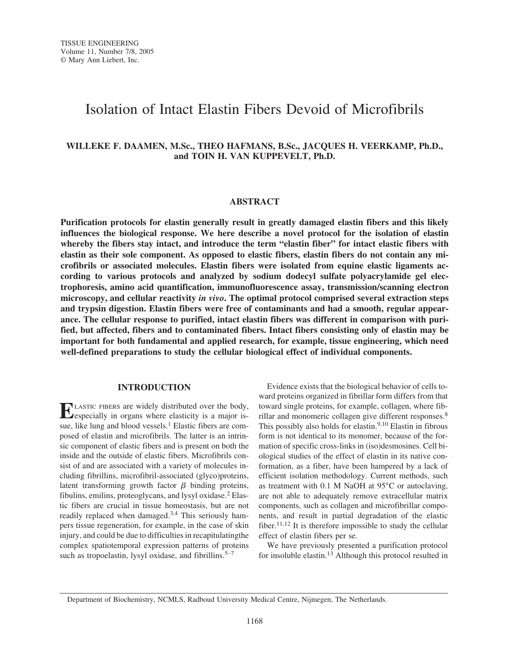# Isolation of Intact Elastin Fibers Devoid of Microfibrils

# **WILLEKE F. DAAMEN, M.Sc., THEO HAFMANS, B.Sc., JACQUES H. VEERKAMP, Ph.D., and TOIN H. VAN KUPPEVELT, Ph.D.**

# **ABSTRACT**

**Purification protocols for elastin generally result in greatly damaged elastin fibers and this likely influences the biological response. We here describe a novel protocol for the isolation of elastin whereby the fibers stay intact, and introduce the term "elastin fiber" for intact elastic fibers with elastin as their sole component. As opposed to elastic fibers, elastin fibers do not contain any microfibrils or associated molecules. Elastin fibers were isolated from equine elastic ligaments according to various protocols and analyzed by sodium dodecyl sulfate polyacrylamide gel electrophoresis, amino acid quantification, immunofluorescence assay, transmission/scanning electron microscopy, and cellular reactivity** *in vivo***. The optimal protocol comprised several extraction steps and trypsin digestion. Elastin fibers were free of contaminants and had a smooth, regular appearance. The cellular response to purified, intact elastin fibers was different in comparison with purified, but affected, fibers and to contaminated fibers. Intact fibers consisting only of elastin may be important for both fundamental and applied research, for example, tissue engineering, which need well-defined preparations to study the cellular biological effect of individual components.**

#### **INTRODUCTION**

**ELASTIC FIBERS are widely distributed over the body,**<br>especially in organs where elasticity is a major issue, like lung and blood vessels. $<sup>1</sup>$  Elastic fibers are com-</sup> posed of elastin and microfibrils. The latter is an intrinsic component of elastic fibers and is present on both the inside and the outside of elastic fibers. Microfibrils consist of and are associated with a variety of molecules including fibrillins, microfibril-associated (glyco)proteins, latent transforming growth factor  $\beta$  binding proteins, fibulins, emilins, proteoglycans, and lysyl oxidase.<sup>2</sup> Elastic fibers are crucial in tissue homeostasis, but are not readily replaced when damaged.<sup>3,4</sup> This seriously hampers tissue regeneration, for example, in the case of skin injury, and could be due to difficulties in recapitulatingthe complex spatiotemporal expression patterns of proteins such as tropoelastin, lysyl oxidase, and fibrillins. $5-7$ 

Evidence exists that the biological behavior of cells toward proteins organized in fibrillar form differs from that toward single proteins, for example, collagen, where fibrillar and monomeric collagen give different responses.<sup>8</sup> This possibly also holds for elastin.<sup>9,10</sup> Elastin in fibrous form is not identical to its monomer, because of the formation of specific cross-links in (iso)desmosines. Cell biological studies of the effect of elastin in its native conformation, as a fiber, have been hampered by a lack of efficient isolation methodology. Current methods, such as treatment with 0.1 M NaOH at 95°C or autoclaving, are not able to adequately remove extracellular matrix components, such as collagen and microfibrillar components, and result in partial degradation of the elastic fiber.<sup>11,12</sup> It is therefore impossible to study the cellular effect of elastin fibers per se.

We have previously presented a purification protocol for insoluble elastin.<sup>13</sup> Although this protocol resulted in

Department of Biochemistry, NCMLS, Radboud University Medical Centre, Nijmegen, The Netherlands.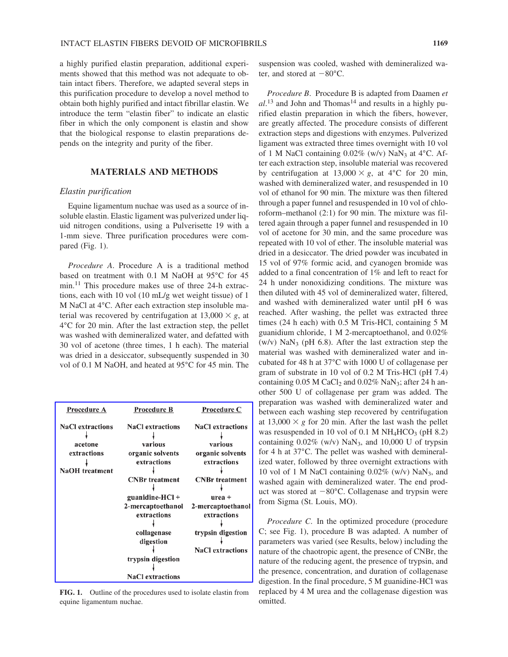a highly purified elastin preparation, additional experiments showed that this method was not adequate to obtain intact fibers. Therefore, we adapted several steps in this purification procedure to develop a novel method to obtain both highly purified and intact fibrillar elastin. We introduce the term "elastin fiber" to indicate an elastic fiber in which the only component is elastin and show that the biological response to elastin preparations depends on the integrity and purity of the fiber.

## **MATERIALS AND METHODS**

#### *Elastin purification*

Equine ligamentum nuchae was used as a source of insoluble elastin. Elastic ligament was pulverized under liquid nitrogen conditions, using a Pulverisette 19 with a 1-mm sieve. Three purification procedures were compared (Fig. 1).

*Procedure A*. Procedure A is a traditional method based on treatment with 0.1 M NaOH at 95°C for 45 min.11 This procedure makes use of three 24-h extractions, each with 10 vol (10 mL/g wet weight tissue) of 1 M NaCl at 4°C. After each extraction step insoluble material was recovered by centrifugation at  $13,000 \times g$ , at 4°C for 20 min. After the last extraction step, the pellet was washed with demineralized water, and defatted with 30 vol of acetone (three times, 1 h each). The material was dried in a desiccator, subsequently suspended in 30 vol of 0.1 M NaOH, and heated at 95°C for 45 min. The

| Procedure A             | Procedure B             | Procedure C             |
|-------------------------|-------------------------|-------------------------|
| <b>NaCl</b> extractions | <b>NaCl</b> extractions | <b>NaCl</b> extractions |
|                         |                         |                         |
| acetone                 | various                 | various                 |
| extractions             | organic solvents        | organic solvents        |
|                         | extractions             | extractions             |
| <b>NaOH</b> treatment   |                         |                         |
|                         | <b>CNBr</b> treatment   | <b>CNBr</b> treatment   |
|                         |                         |                         |
|                         | guanidine- $HCI +$      | $urea +$                |
|                         | 2-mercaptoethanol       | 2-mercaptoethanol       |
|                         | extractions             | extractions             |
|                         |                         |                         |
|                         | collagenase             | trypsin digestion       |
|                         | digestion               |                         |
|                         |                         | <b>NaCl</b> extractions |
|                         | trypsin digestion       |                         |
|                         | <b>NaCl</b> extractions |                         |

**FIG. 1.** Outline of the procedures used to isolate elastin from equine ligamentum nuchae.

suspension was cooled, washed with demineralized water, and stored at  $-80^{\circ}$ C.

*Procedure B*. Procedure B is adapted from Daamen *et* al.<sup>13</sup> and John and Thomas<sup>14</sup> and results in a highly purified elastin preparation in which the fibers, however, are greatly affected. The procedure consists of different extraction steps and digestions with enzymes. Pulverized ligament was extracted three times overnight with 10 vol of 1 M NaCl containing  $0.02\%$  (w/v) NaN<sub>3</sub> at 4°C. After each extraction step, insoluble material was recovered by centrifugation at  $13,000 \times g$ , at  $4^{\circ}$ C for 20 min, washed with demineralized water, and resuspended in 10 vol of ethanol for 90 min. The mixture was then filtered through a paper funnel and resuspended in 10 vol of chloroform–methanol (2:1) for 90 min. The mixture was filtered again through a paper funnel and resuspended in 10 vol of acetone for 30 min, and the same procedure was repeated with 10 vol of ether. The insoluble material was dried in a desiccator. The dried powder was incubated in 15 vol of 97% formic acid, and cyanogen bromide was added to a final concentration of 1% and left to react for 24 h under nonoxidizing conditions. The mixture was then diluted with 45 vol of demineralized water, filtered, and washed with demineralized water until pH 6 was reached. After washing, the pellet was extracted three times (24 h each) with 0.5 M Tris-HCl, containing 5 M guanidium chloride, 1 M 2-mercaptoethanol, and 0.02% (w/v)  $\text{Na} \text{N}_3$  (pH 6.8). After the last extraction step the material was washed with demineralized water and incubated for 48 h at 37°C with 1000 U of collagenase per gram of substrate in 10 vol of 0.2 M Tris-HCl (pH 7.4) containing  $0.05$  M CaCl<sub>2</sub> and  $0.02\%$  NaN<sub>3</sub>; after 24 h another 500 U of collagenase per gram was added. The preparation was washed with demineralized water and between each washing step recovered by centrifugation at  $13,000 \times g$  for 20 min. After the last wash the pellet was resuspended in 10 vol of 0.1 M  $NH_4HCO_3$  (pH 8.2) containing  $0.02\%$  (w/v) NaN<sub>3</sub>, and 10,000 U of trypsin for 4 h at 37°C. The pellet was washed with demineralized water, followed by three overnight extractions with 10 vol of 1 M NaCl containing  $0.02\%$  (w/v) NaN<sub>3</sub>, and washed again with demineralized water. The end product was stored at  $-80^{\circ}$ C. Collagenase and trypsin were from Sigma (St. Louis, MO).

*Procedure C*. In the optimized procedure (procedure C; see Fig. 1), procedure B was adapted. A number of parameters was varied (see Results, below) including the nature of the chaotropic agent, the presence of CNBr, the nature of the reducing agent, the presence of trypsin, and the presence, concentration, and duration of collagenase digestion. In the final procedure, 5 M guanidine-HCl was replaced by 4 M urea and the collagenase digestion was omitted.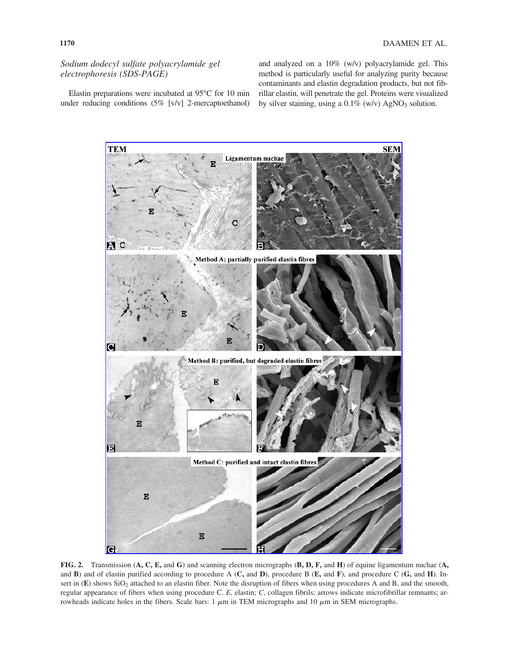*Sodium dodecyl sulfate polyacrylamide gel electrophoresis (SDS-PAGE)*

Elastin preparations were incubated at 95°C for 10 min under reducing conditions (5% [v/v] 2-mercaptoethanol) and analyzed on a 10% (w/v) polyacrylamide gel. This method is particularly useful for analyzing purity because contaminants and elastin degradation products, but not fibrillar elastin, will penetrate the gel. Proteins were visualized by silver staining, using a  $0.1\%$  (w/v) AgNO<sub>3</sub> solution.



**FIG. 2.** Transmission (**A, C, E,** and **G**) and scanning electron micrographs (**B, D, F,** and **H**) of equine ligamentum nuchae (**A,** and **B**) and of elastin purified according to procedure A (**C,** and **D**), procedure B (**E,** and **F**), and procedure C (**G,** and **H**). Insert in (E) shows SiO<sub>2</sub> attached to an elastin fiber. Note the disruption of fibers when using procedures A and B, and the smooth, regular appearance of fibers when using procedure C. *E*, elastin; *C*, collagen fibrils; arrows indicate microfibrillar remnants; arrowheads indicate holes in the fibers. Scale bars:  $1 \mu m$  in TEM micrographs and  $10 \mu m$  in SEM micrographs.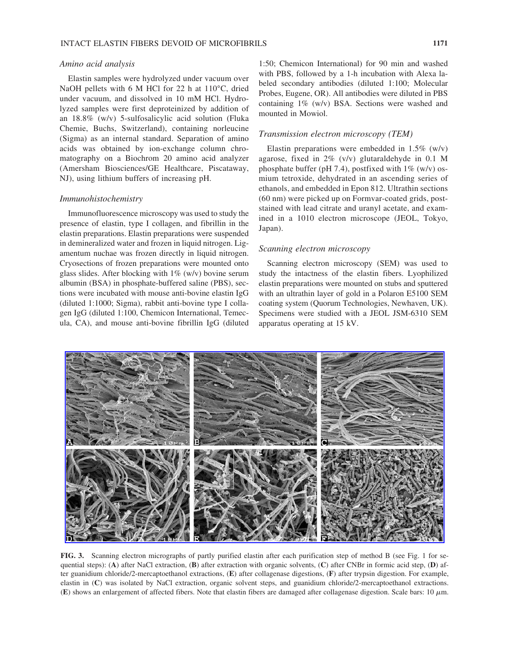### *Amino acid analysis*

Elastin samples were hydrolyzed under vacuum over NaOH pellets with 6 M HCl for 22 h at 110°C, dried under vacuum, and dissolved in 10 mM HCl. Hydrolyzed samples were first deproteinized by addition of an 18.8% (w/v) 5-sulfosalicylic acid solution (Fluka Chemie, Buchs, Switzerland), containing norleucine (Sigma) as an internal standard. Separation of amino acids was obtained by ion-exchange column chromatography on a Biochrom 20 amino acid analyzer (Amersham Biosciences/GE Healthcare, Piscataway, NJ), using lithium buffers of increasing pH.

#### *Immunohistochemistry*

Immunofluorescence microscopy was used to study the presence of elastin, type I collagen, and fibrillin in the elastin preparations. Elastin preparations were suspended in demineralized water and frozen in liquid nitrogen. Ligamentum nuchae was frozen directly in liquid nitrogen. Cryosections of frozen preparations were mounted onto glass slides. After blocking with  $1\%$  (w/v) bovine serum albumin (BSA) in phosphate-buffered saline (PBS), sections were incubated with mouse anti-bovine elastin IgG (diluted 1:1000; Sigma), rabbit anti-bovine type I collagen IgG (diluted 1:100, Chemicon International, Temecula, CA), and mouse anti-bovine fibrillin IgG (diluted 1:50; Chemicon International) for 90 min and washed with PBS, followed by a 1-h incubation with Alexa labeled secondary antibodies (diluted 1:100; Molecular Probes, Eugene, OR). All antibodies were diluted in PBS containing 1% (w/v) BSA. Sections were washed and mounted in Mowiol.

## *Transmission electron microscopy (TEM)*

Elastin preparations were embedded in  $1.5\%$  (w/v) agarose, fixed in 2% (v/v) glutaraldehyde in 0.1 M phosphate buffer (pH 7.4), postfixed with  $1\%$  (w/v) osmium tetroxide, dehydrated in an ascending series of ethanols, and embedded in Epon 812. Ultrathin sections (60 nm) were picked up on Formvar-coated grids, poststained with lead citrate and uranyl acetate, and examined in a 1010 electron microscope (JEOL, Tokyo, Japan).

#### *Scanning electron microscopy*

Scanning electron microscopy (SEM) was used to study the intactness of the elastin fibers. Lyophilized elastin preparations were mounted on stubs and sputtered with an ultrathin layer of gold in a Polaron E5100 SEM coating system (Quorum Technologies, Newhaven, UK). Specimens were studied with a JEOL JSM-6310 SEM apparatus operating at 15 kV.



**FIG. 3.** Scanning electron micrographs of partly purified elastin after each purification step of method B (see Fig. 1 for sequential steps): (**A**) after NaCl extraction, (**B**) after extraction with organic solvents, (**C**) after CNBr in formic acid step, (**D**) after guanidium chloride/2-mercaptoethanol extractions, (**E**) after collagenase digestions, (**F**) after trypsin digestion. For example, elastin in (**C**) was isolated by NaCl extraction, organic solvent steps, and guanidium chloride/2-mercaptoethanol extractions. (E) shows an enlargement of affected fibers. Note that elastin fibers are damaged after collagenase digestion. Scale bars: 10  $\mu$ m.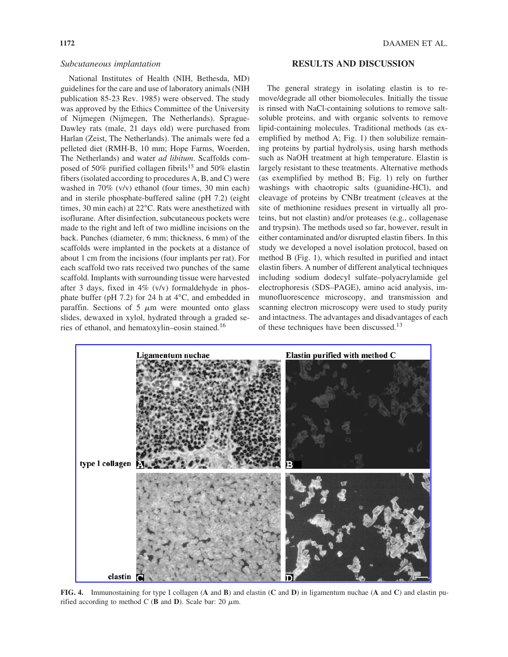## *Subcutaneous implantation*

National Institutes of Health (NIH, Bethesda, MD) guidelines for the care and use of laboratory animals (NIH publication 85-23 Rev. 1985) were observed. The study was approved by the Ethics Committee of the University of Nijmegen (Nijmegen, The Netherlands). Sprague-Dawley rats (male, 21 days old) were purchased from Harlan (Zeist, The Netherlands). The animals were fed a pelleted diet (RMH-B, 10 mm; Hope Farms, Woerden, The Netherlands) and water *ad libitum*. Scaffolds composed of 50% purified collagen fibrils<sup>15</sup> and 50% elastin fibers (isolated according to procedures A, B, and C) were washed in 70% (v/v) ethanol (four times, 30 min each) and in sterile phosphate-buffered saline (pH 7.2) (eight times, 30 min each) at 22°C. Rats were anesthetized with isoflurane. After disinfection, subcutaneous pockets were made to the right and left of two midline incisions on the back. Punches (diameter, 6 mm; thickness, 6 mm) of the scaffolds were implanted in the pockets at a distance of about 1 cm from the incisions (four implants per rat). For each scaffold two rats received two punches of the same scaffold. Implants with surrounding tissue were harvested after 3 days, fixed in 4% (v/v) formaldehyde in phosphate buffer (pH 7.2) for 24 h at 4°C, and embedded in paraffin. Sections of  $5 \mu m$  were mounted onto glass slides, dewaxed in xylol, hydrated through a graded series of ethanol, and hematoxylin–eosin stained.<sup>16</sup>

#### **RESULTS AND DISCUSSION**

The general strategy in isolating elastin is to remove/degrade all other biomolecules. Initially the tissue is rinsed with NaCl-containing solutions to remove saltsoluble proteins, and with organic solvents to remove lipid-containing molecules. Traditional methods (as exemplified by method A; Fig. 1) then solubilize remaining proteins by partial hydrolysis, using harsh methods such as NaOH treatment at high temperature. Elastin is largely resistant to these treatments. Alternative methods (as exemplified by method B; Fig. 1) rely on further washings with chaotropic salts (guanidine-HCl), and cleavage of proteins by CNBr treatment (cleaves at the site of methionine residues present in virtually all proteins, but not elastin) and/or proteases (e.g., collagenase and trypsin). The methods used so far, however, result in either contaminated and/or disrupted elastin fibers. In this study we developed a novel isolation protocol, based on method B (Fig. 1), which resulted in purified and intact elastin fibers. A number of different analytical techniques including sodium dodecyl sulfate–polyacrylamide gel electrophoresis (SDS–PAGE), amino acid analysis, immunofluorescence microscopy, and transmission and scanning electron microscopy were used to study purity and intactness. The advantages and disadvantages of each of these techniques have been discussed.<sup>13</sup>



**FIG. 4.** Immunostaining for type I collagen (**A** and **B**) and elastin (**C** and **D**) in ligamentum nuchae (**A** and **C**) and elastin purified according to method C (**B** and **D**). Scale bar: 20  $\mu$ m.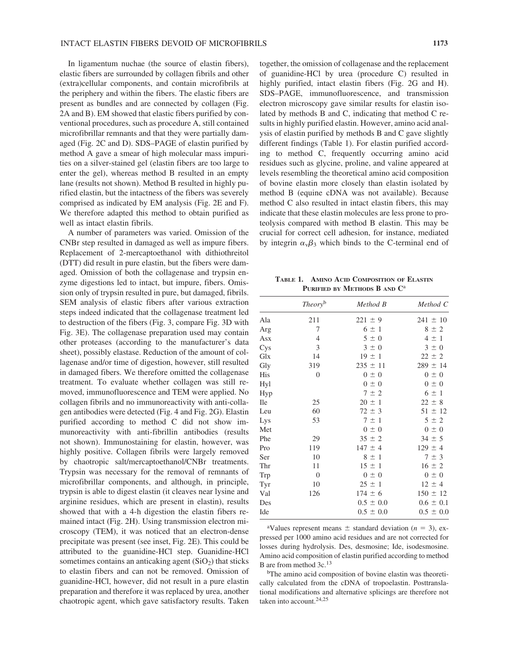In ligamentum nuchae (the source of elastin fibers), elastic fibers are surrounded by collagen fibrils and other (extra)cellular components, and contain microfibrils at the periphery and within the fibers. The elastic fibers are present as bundles and are connected by collagen (Fig. 2A and B). EM showed that elastic fibers purified by conventional procedures, such as procedure A, still contained microfibrillar remnants and that they were partially damaged (Fig. 2C and D). SDS–PAGE of elastin purified by method A gave a smear of high molecular mass impurities on a silver-stained gel (elastin fibers are too large to enter the gel), whereas method B resulted in an empty lane (results not shown). Method B resulted in highly purified elastin, but the intactness of the fibers was severely comprised as indicated by EM analysis (Fig. 2E and F). We therefore adapted this method to obtain purified as well as intact elastin fibrils.

A number of parameters was varied. Omission of the CNBr step resulted in damaged as well as impure fibers. Replacement of 2-mercaptoethanol with dithiothreitol (DTT) did result in pure elastin, but the fibers were damaged. Omission of both the collagenase and trypsin enzyme digestions led to intact, but impure, fibers. Omission only of trypsin resulted in pure, but damaged, fibrils. SEM analysis of elastic fibers after various extraction steps indeed indicated that the collagenase treatment led to destruction of the fibers (Fig. 3, compare Fig. 3D with Fig. 3E). The collagenase preparation used may contain other proteases (according to the manufacturer's data sheet), possibly elastase. Reduction of the amount of collagenase and/or time of digestion, however, still resulted in damaged fibers. We therefore omitted the collagenase treatment. To evaluate whether collagen was still removed, immunofluorescence and TEM were applied. No collagen fibrils and no immunoreactivity with anti-collagen antibodies were detected (Fig. 4 and Fig. 2G). Elastin purified according to method C did not show immunoreactivity with anti-fibrillin antibodies (results not shown). Immunostaining for elastin, however, was highly positive. Collagen fibrils were largely removed by chaotropic salt/mercaptoethanol/CNBr treatments. Trypsin was necessary for the removal of remnants of microfibrillar components, and although, in principle, trypsin is able to digest elastin (it cleaves near lysine and arginine residues, which are present in elastin), results showed that with a 4-h digestion the elastin fibers remained intact (Fig. 2H). Using transmission electron microscopy (TEM), it was noticed that an electron-dense precipitate was present (see inset, Fig. 2E). This could be attributed to the guanidine-HCl step. Guanidine-HCl sometimes contains an anticaking agent  $(SiO<sub>2</sub>)$  that sticks to elastin fibers and can not be removed. Omission of guanidine-HCl, however, did not result in a pure elastin preparation and therefore it was replaced by urea, another chaotropic agent, which gave satisfactory results. Taken together, the omission of collagenase and the replacement of guanidine-HCl by urea (procedure C) resulted in highly purified, intact elastin fibers (Fig. 2G and H). SDS–PAGE, immunofluorescence, and transmission electron microscopy gave similar results for elastin isolated by methods B and C, indicating that method C results in highly purified elastin. However, amino acid analysis of elastin purified by methods B and C gave slightly different findings (Table 1). For elastin purified according to method C, frequently occurring amino acid residues such as glycine, proline, and valine appeared at levels resembling the theoretical amino acid composition of bovine elastin more closely than elastin isolated by method B (equine cDNA was not available). Because method C also resulted in intact elastin fibers, this may indicate that these elastin molecules are less prone to proteolysis compared with method B elastin. This may be crucial for correct cell adhesion, for instance, mediated by integrin  $\alpha_{\nu}\beta_3$  which binds to the C-terminal end of

**TABLE 1. AMINO ACID COMPOSITION OF ELASTIN PURIFIED BY METHODS B AND C**<sup>a</sup>

|     | Theoryb          | Method B      | Method C      |
|-----|------------------|---------------|---------------|
| Ala | 211              | $221 \pm 9$   | $241 \pm 10$  |
| Arg | 7                | $6 \pm 1$     | $8 \pm 2$     |
| Asx | $\overline{4}$   | $5 \pm 0$     | $4 \pm 1$     |
| Cys | 3                | $3 \pm 0$     | $3 \pm 0$     |
| Glx | 14               | $19 \pm 1$    | $22 \pm 2$    |
| Gly | 319              | $235 \pm 11$  | $289 \pm 14$  |
| His | $\boldsymbol{0}$ | $0 \pm 0$     | $0 \pm 0$     |
| Hyl |                  | $0 \pm 0$     | $0 \pm 0$     |
| Hyp |                  | $7 \pm 2$     | $6 \pm 1$     |
| Ile | 25               | $20 \pm 1$    | $22 \pm 8$    |
| Leu | 60               | $72 \pm 3$    | $51 \pm 12$   |
| Lys | 53               | $7 \pm 1$     | $5 \pm 2$     |
| Met |                  | $0 \pm 0$     | $0 \pm 0$     |
| Phe | 29               | $35 \pm 2$    | $34 \pm 5$    |
| Pro | 119              | $147 \pm 4$   | $129 \pm 4$   |
| Ser | 10               | $8 \pm 1$     | $7 \pm 3$     |
| Thr | 11               | $15 \pm 1$    | $16 \pm 2$    |
| Trp | $\boldsymbol{0}$ | $0 \pm 0$     | $0 \pm 0$     |
| Tyr | 10               | $25 \pm 1$    | $12 \pm 4$    |
| Val | 126              | $174 \pm 6$   | $150 \pm 12$  |
| Des |                  | $0.5 \pm 0.0$ | $0.6 \pm 0.1$ |
| Ide |                  | $0.5 \pm 0.0$ | $0.5 \pm 0.0$ |
|     |                  |               |               |

<sup>a</sup>Values represent means  $\pm$  standard deviation ( $n = 3$ ), expressed per 1000 amino acid residues and are not corrected for losses during hydrolysis. Des, desmosine; Ide, isodesmosine. Amino acid composition of elastin purified according to method B are from method 3c.<sup>13</sup>

<sup>b</sup>The amino acid composition of bovine elastin was theoretically calculated from the cDNA of tropoelastin. Posttranslational modifications and alternative splicings are therefore not taken into account.<sup>24,25</sup>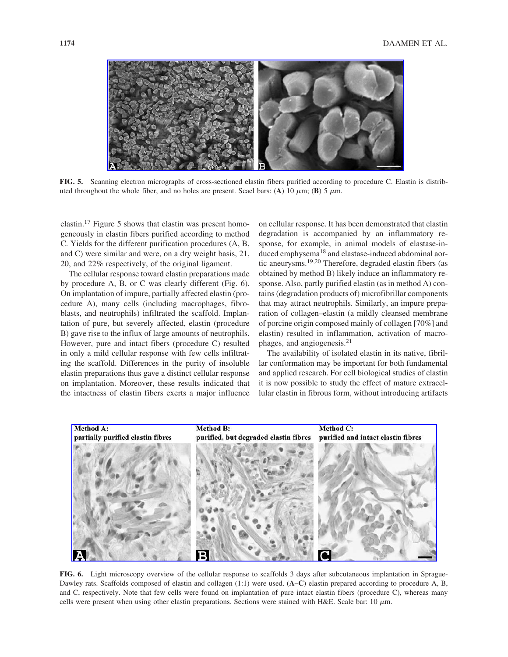

**FIG. 5.** Scanning electron micrographs of cross-sectioned elastin fibers purified according to procedure C. Elastin is distributed throughout the whole fiber, and no holes are present. Scael bars: (A) 10  $\mu$ m; (B) 5  $\mu$ m.

elastin.17 Figure 5 shows that elastin was present homogeneously in elastin fibers purified according to method C. Yields for the different purification procedures (A, B, and C) were similar and were, on a dry weight basis, 21, 20, and 22% respectively, of the original ligament.

The cellular response toward elastin preparations made by procedure A, B, or C was clearly different (Fig. 6). On implantation of impure, partially affected elastin (procedure A), many cells (including macrophages, fibroblasts, and neutrophils) infiltrated the scaffold. Implantation of pure, but severely affected, elastin (procedure B) gave rise to the influx of large amounts of neutrophils. However, pure and intact fibers (procedure C) resulted in only a mild cellular response with few cells infiltrating the scaffold. Differences in the purity of insoluble elastin preparations thus gave a distinct cellular response on implantation. Moreover, these results indicated that the intactness of elastin fibers exerts a major influence

on cellular response. It has been demonstrated that elastin degradation is accompanied by an inflammatory response, for example, in animal models of elastase-induced emphysema<sup>18</sup> and elastase-induced abdominal aortic aneurysms.19,20 Therefore, degraded elastin fibers (as obtained by method B) likely induce an inflammatory response. Also, partly purified elastin (as in method A) contains (degradation products of) microfibrillar components that may attract neutrophils. Similarly, an impure preparation of collagen–elastin (a mildly cleansed membrane of porcine origin composed mainly of collagen [70%] and elastin) resulted in inflammation, activation of macrophages, and angiogenesis.<sup>21</sup>

The availability of isolated elastin in its native, fibrillar conformation may be important for both fundamental and applied research. For cell biological studies of elastin it is now possible to study the effect of mature extracellular elastin in fibrous form, without introducing artifacts



**FIG. 6.** Light microscopy overview of the cellular response to scaffolds 3 days after subcutaneous implantation in Sprague-Dawley rats. Scaffolds composed of elastin and collagen (1:1) were used. (**A–C**) elastin prepared according to procedure A, B, and C, respectively. Note that few cells were found on implantation of pure intact elastin fibers (procedure C), whereas many cells were present when using other elastin preparations. Sections were stained with H&E. Scale bar: 10  $\mu$ m.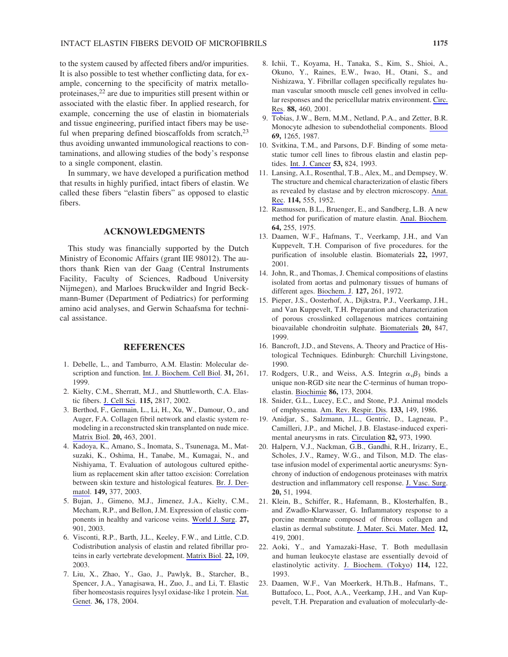to the system caused by affected fibers and/or impurities. It is also possible to test whether conflicting data, for example, concerning to the specificity of matrix metalloproteinases, $2<sup>22</sup>$  are due to impurities still present within or associated with the elastic fiber. In applied research, for example, concerning the use of elastin in biomaterials and tissue engineering, purified intact fibers may be useful when preparing defined bioscaffolds from scratch, $^{23}$ thus avoiding unwanted immunological reactions to contaminations, and allowing studies of the body's response to a single component, elastin.

In summary, we have developed a purification method that results in highly purified, intact fibers of elastin. We called these fibers "elastin fibers" as opposed to elastic fibers.

## **ACKNOWLEDGMENTS**

This study was financially supported by the Dutch Ministry of Economic Affairs (grant IIE 98012). The authors thank Rien van der Gaag (Central Instruments Facility, Faculty of Sciences, Radboud University Nijmegen), and Marloes Bruckwilder and Ingrid Beckmann-Bumer (Department of Pediatrics) for performing amino acid analyses, and Gerwin Schaafsma for technical assistance.

#### **REFERENCES**

- 1. Debelle, L., and Tamburro, A.M. Elastin: Molecular description and function. Int. J. Biochem. Cell Biol. **31,** 261, 1999.
- 2. Kielty, C.M., Sherratt, M.J., and Shuttleworth, C.A. Elastic fibers. J. Cell Sci. **115,** 2817, 2002.
- 3. Berthod, F., Germain, L., Li, H., Xu, W., Damour, O., and Auger, F.A. Collagen fibril network and elastic system remodeling in a reconstructed skin transplanted on nude mice. Matrix Biol. **20,** 463, 2001.
- 4. Kadoya, K., Amano, S., Inomata, S., Tsunenaga, M., Matsuzaki, K., Oshima, H., Tanabe, M., Kumagai, N., and Nishiyama, T. Evaluation of autologous cultured epithelium as replacement skin after tattoo excision: Correlation between skin texture and histological features. Br. J. Dermatol. **149,** 377, 2003.
- 5. Bujan, J., Gimeno, M.J., Jimenez, J.A., Kielty, C.M., Mecham, R.P., and Bellon, J.M. Expression of elastic components in healthy and varicose veins. World J. Surg. **27,** 901, 2003.
- 6. Visconti, R.P., Barth, J.L., Keeley, F.W., and Little, C.D. Codistribution analysis of elastin and related fibrillar proteins in early vertebrate development. Matrix Biol. **22,** 109, 2003.
- 7. Liu, X., Zhao, Y., Gao, J., Pawlyk, B., Starcher, B., Spencer, J.A., Yanagisawa, H., Zuo, J., and Li, T. Elastic fiber homeostasis requires lysyl oxidase-like 1 protein. Nat. Genet. **36,** 178, 2004.
- 8. Ichii, T., Koyama, H., Tanaka, S., Kim, S., Shioi, A., Okuno, Y., Raines, E.W., Iwao, H., Otani, S., and Nishizawa, Y. Fibrillar collagen specifically regulates human vascular smooth muscle cell genes involved in cellular responses and the pericellular matrix environment. Circ. Res. **88,** 460, 2001.
- 9. Tobias, J.W., Bern, M.M., Netland, P.A., and Zetter, B.R. Monocyte adhesion to subendothelial components. Blood **69,** 1265, 1987.
- 10. Svitkina, T.M., and Parsons, D.F. Binding of some metastatic tumor cell lines to fibrous elastin and elastin peptides. Int. J. Cancer **53,** 824, 1993.
- 11. Lansing, A.I., Rosenthal, T.B., Alex, M., and Dempsey, W. The structure and chemical characterization of elastic fibers as revealed by elastase and by electron microscopy. Anat. Rec. **114,** 555, 1952.
- 12. Rasmussen, B.L., Bruenger, E., and Sandberg, L.B. A new method for purification of mature elastin. Anal. Biochem. **64,** 255, 1975.
- 13. Daamen, W.F., Hafmans, T., Veerkamp, J.H., and Van Kuppevelt, T.H. Comparison of five procedures. for the purification of insoluble elastin. Biomaterials **22,** 1997, 2001.
- 14. John, R., and Thomas, J. Chemical compositions of elastins isolated from aortas and pulmonary tissues of humans of different ages. Biochem. J. **127,** 261, 1972.
- 15. Pieper, J.S., Oosterhof, A., Dijkstra, P.J., Veerkamp, J.H., and Van Kuppevelt, T.H. Preparation and characterization of porous crosslinked collagenous matrices containing bioavailable chondroitin sulphate. Biomaterials **20,** 847, 1999.
- 16. Bancroft, J.D., and Stevens, A. Theory and Practice of Histological Techniques. Edinburgh: Churchill Livingstone, 1990.
- 17. Rodgers, U.R., and Weiss, A.S. Integrin  $\alpha_{\nu}\beta_3$  binds a unique non-RGD site near the C-terminus of human tropoelastin. Biochimie **86,** 173, 2004.
- 18. Snider, G.L., Lucey, E.C., and Stone, P.J. Animal models of emphysema. Am. Rev. Respir. Dis. **133,** 149, 1986.
- 19. Anidjar, S., Salzmann, J.L., Gentric, D., Lagneau, P., Camilleri, J.P., and Michel, J.B. Elastase-induced experimental aneurysms in rats. Circulation **82,** 973, 1990.
- 20. Halpern, V.J., Nackman, G.B., Gandhi, R.H., Irizarry, E., Scholes, J.V., Ramey, W.G., and Tilson, M.D. The elastase infusion model of experimental aortic aneurysms: Synchrony of induction of endogenous proteinases with matrix destruction and inflammatory cell response. J. Vasc. Surg. **20,** 51, 1994.
- 21. Klein, B., Schiffer, R., Hafemann, B., Klosterhalfen, B., and Zwadlo-Klarwasser, G. Inflammatory response to a porcine membrane composed of fibrous collagen and elastin as dermal substitute. J. Mater. Sci. Mater. Med. **12,** 419, 2001.
- 22. Aoki, Y., and Yamazaki-Hase, T. Both medullasin and human leukocyte elastase are essentially devoid of elastinolytic activity. J. Biochem. (Tokyo) **114,** 122, 1993.
- 23. Daamen, W.F., Van Moerkerk, H.Th.B., Hafmans, T., Buttafoco, L., Poot, A.A., Veerkamp, J.H., and Van Kuppevelt, T.H. Preparation and evaluation of molecularly-de-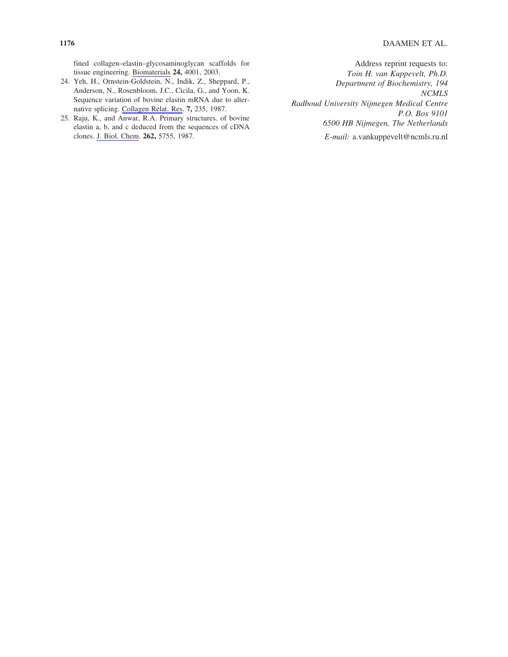fined collagen–elastin–glycosaminoglycan scaffolds for tissue engineering. Biomaterials **24,** 4001, 2003.

- 24. Yeh, H., Ornstein-Goldstein, N., Indik, Z., Sheppard, P., Anderson, N., Rosenbloom, J.C., Cicila, G., and Yoon, K. Sequence variation of bovine elastin mRNA due to alternative splicing. Collagen Relat. Res. **7,** 235, 1987.
- 25. Raju, K., and Anwar, R.A. Primary structures. of bovine elastin a, b, and c deduced from the sequences of cDNA clones. J. Biol. Chem. **262,** 5755, 1987.

Address reprint requests to: *Toin H. van Kuppevelt, Ph.D. Department of Biochemistry, 194 NCMLS Radboud University Nijmegen Medical Centre P.O. Box 9101 6500 HB Nijmegen, The Netherlands E-mail:* a.vankuppevelt@ncmls.ru.nl